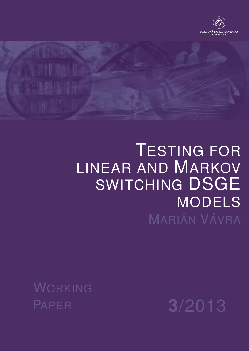



# TESTING FOR LINEAR AND MARKOV SWITCHING DSGE MODELS MARIÁN VÁVRA

WORKING

PAPER **3**/2013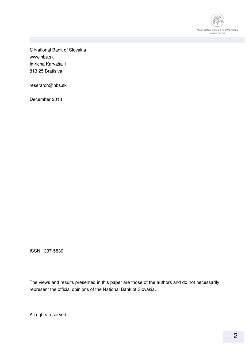

© National Bank of Slovakia www.nbs.sk Imricha Karvaša 1 813 25 Bratislva

reserarch@nbs.sk

December 2013

ISSN 1337-5830

The views and results presented in this paper are those of the authors and do not necessarily represent the official opinions of the National Bank of Slovakia.

All rights reserved.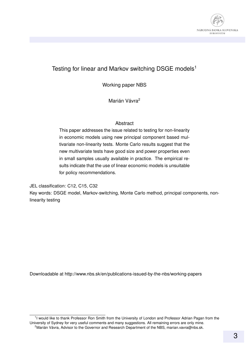

#### Testing for linear and Markov switching DSGE models<sup>1</sup>

Working paper NBS

Marián Vávra<sup>2</sup>

#### Abstract

This paper addresses the issue related to testing for non-linearity in economic models using new principal component based multivariate non-linearity tests. Monte Carlo results suggest that the new multivariate tests have good size and power properties even in small samples usually available in practice. The empirical results indicate that the use of linear economic models is unsuitable for policy recommendations.

JEL classification: C12, C15, C32

Key words: DSGE model, Markov-switching, Monte Carlo method, principal components, nonlinearity testing

Downloadable at http://www.nbs.sk/en/publications-issued-by-the-nbs/working-papers

<sup>1</sup>I would like to thank Professor Ron Smith from the University of London and Professor Adrian Pagan from the University of Sydney for very useful comments and many suggestions. All remaining errors are only mine. <sup>2</sup> Marián Vávra, Advisor to the Governor and Research Department of the NBS, marian.vavra@nbs.sk.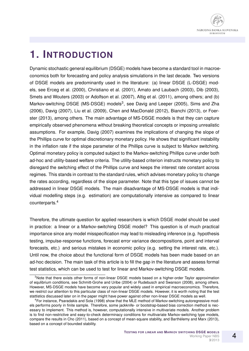

### **1. INTRODUCTION**

Dynamic stochastic general equilibrium (DSGE) models have become a standard tool in macroeconomics both for forecasting and policy analysis simulations in the last decade. Two versions of DSGE models are predominantly used in the literature: (a) linear DSGE (L-DSGE) models, see Erceg et al. (2000), Christiano et al. (2001), Amato and Laubach (2003), Dib (2003), Smets and Wouters (2003) or Adolfson et al. (2007), Altig et al. (2011), among others; and (b) Markov-switching DSGE (MS-DSGE) models<sup>3</sup>, see Davig and Leeper (2005), Sims and Zha (2006), Davig (2007), Liu et al. (2009), Chen and MacDonald (2012), Bianchi (2013), or Foerster (2013), among others. The main advantage of MS-DSGE models is that they can capture empirically observed phenomena without breaking theoretical concepts or imposing unrealistic assumptions. For example, Davig (2007) examines the implications of changing the slope of the Phillips curve for optimal discretionary monetary policy. He shows that significant instability in the inflation rate if the slope parameter of the Phillips curve is subject to Markov switching. Optimal monetary policy is computed subject to the Markov-switching Phillips curve under both ad-hoc and utility-based welfare criteria. The utility-based criterion instructs monetary policy to disregard the switching effect of the Phillips curve and keeps the interest rate constant across regimes. This stands in contrast to the standard rules, which advises monetary policy to change the rates according, regardless of the slope parameter. Note that this type of issues cannot be addressed in linear DSGE models. The main disadvantage of MS-DSGE models is that individual modelling steps (e.g. estimation) are computationally intensive as compared to linear counterparts.<sup>4</sup>

Therefore, the ultimate question for applied researchers is which DSGE model should be used in practice: a linear or a Markov-switching DSGE model? This question is of much practical importance since any model misspecification may lead to misleading inference (e.g. hypothesis testing, impulse-response functions, forecast error variance decompositions, point and interval forecasts, etc.) and serious mistakes in economic policy (e.g. setting the interest rate, etc.). Until now, the choice about the functional form of DSGE models has been made based on an ad-hoc decision. The main task of this article is to fill the gap in the literature and assess formal test statistics, which can be used to test for linear and Markov-switching DSGE models.

<sup>&</sup>lt;sup>3</sup>Note that there exists other forms of non-linear DSGE models based on a higher-order Taylor approximation of equlibrium conditions, see Schmitt-Grohe and Uribe (2004) or Rudebusch and Swanson (2008), among others. However, MS-DSGE models have become very popular and widely used in empirical macroeconomics. Therefore, we restrict our attention to this particular class of non-linear DSGE models. However, it is worth noting that the test stattistics discussed later on in the paper might have power against other non-linear DSGE models as well.

<sup>4</sup>For instance, Psaradakis and Sola (1998) show that the MLE method of Markov-switching autoregressive models performs poorly in finite sample. Therefore, some jackknife- or bootstrap-based bias correction method is necessary to implement. This method is, however, computationally intensive in multivariate models. Another problem is to find non-restrictive and easy-to-check determinacy conditions for multivariate Markov-switching type models, compare the results in Cho (2011), based on a concept of mean-square stability, and Barthelemy and Marx (2013), ´ based on a concept of bounded stability.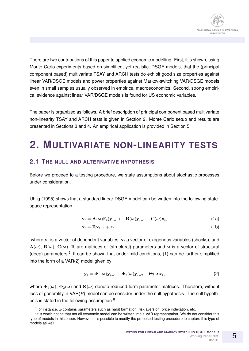

There are two contributions of this paper to applied economic modelling. First, it is shown, using Monte Carlo experiments based on simplified, yet realistic, DSGE models, that the (principal component based) multivariate TSAY and ARCH tests do exhibit good size properties against linear VAR/DSGE models and power properties against Markov-switching VAR/DSGE models even in small samples usually observed in empirical macroeconomics. Second, strong empirical evidence against linear VAR/DSGE models is found for US economic variables.

The paper is organized as follows. A brief description of principal component based multivariate non-linearity TSAY and ARCH tests is given in Section 2. Monte Carlo setup and results are presented in Sections 3 and 4. An empirical application is provided in Section 5.

### **2. MULTIVARIATE NON-LINEARITY TESTS**

#### **2.1 THE NULL AND ALTERNATIVE HYPOTHESIS**

Before we proceed to a testing procedure, we state assumptions about stochastic processes under consideration.

Uhlig (1995) shows that a standard linear DSGE model can be written into the following statespace representation

$$
\mathbf{y}_{t} = \mathbf{A}(\boldsymbol{\omega}) \mathbb{E}_{t}(\mathbf{y}_{t+1}) + \mathbf{B}(\boldsymbol{\omega}) \mathbf{y}_{t-1} + \mathbf{C}(\boldsymbol{\omega}) \mathbf{x}_{t},
$$
\n(1a)

$$
\mathbf{x}_t = \mathbf{R} \mathbf{x}_{t-1} + \boldsymbol{\epsilon}_t, \tag{1b}
$$

where  $\mathbf{y}_t$  is a vector of dependent variables,  $\mathbf{x}_t$  a vector of exogenous variables (shocks), and  $A(\omega)$ ,  $B(\omega)$ ,  $C(\omega)$ , R are matrices of (structural) parameters and  $\omega$  is a vector of structural (deep) parameters.<sup>5</sup> It can be shown that under mild conditions, (1) can be further simplified into the form of a VAR(2) model given by

$$
\mathbf{y}_t = \mathbf{\Phi}_1(\boldsymbol{\omega})\mathbf{y}_{t-1} + \mathbf{\Phi}_2(\boldsymbol{\omega})\mathbf{y}_{t-2} + \mathbf{\Theta}(\boldsymbol{\omega})\boldsymbol{\epsilon}_t, \tag{2}
$$

where  $\Phi_1(\omega)$ ,  $\Phi_2(\omega)$  and  $\Theta(\omega)$  denote reduced-form parameter matrices. Therefore, without loss of generality, a  $VAR(P)$  model can be consider under the null hypothesis. The null hypothesis is stated in the following assumption.<sup>6</sup>

 $5$ For instance,  $\omega$  contains parameters such as habit formation, risk aversion, price indexation, etc.

<sup>&</sup>lt;sup>6</sup>It is worth noting that not all economic model can be written into a VAR representation. We do not consider this type of models in this paper. However, it is possible to modify the proposed testing procedure to capture this type of models as well.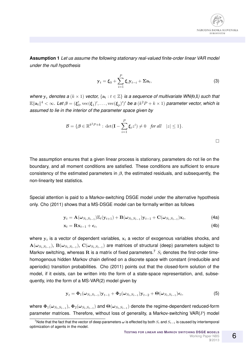

**Assumption 1** *Let us assume the following stationary real-valued finite-order linear VAR model under the null hypothesis*

$$
\mathbf{y}_t = \boldsymbol{\xi}_0 + \sum_{i=1}^P \boldsymbol{\xi}_i \mathbf{y}_{t-i} + \boldsymbol{\Sigma} \mathbf{a}_t, \tag{3}
$$

*where*  $y_t$  *denotes a*  $(k \times 1)$  *vector,*  $\{a_t : t \in \mathbb{Z}\}$  *is a sequence of multivariate WN(*0,I) such that  $\mathbb{E}\|\mathbf{a}_t\|^4<\infty$ . Let  $\boldsymbol{\beta}=(\boldsymbol{\xi}_0',\mathrm{vec}(\boldsymbol{\xi}_1)',\ldots,\mathrm{vec}(\boldsymbol{\xi}_p)')'$  be a  $(k^2P+k\times1)$  parameter vector, which is *assumed to lie in the interior of the parameter space given by*

$$
\mathcal{B} = \{ \boldsymbol{\beta} \in \mathbb{R}^{k^2 P + k} : \det(\mathbf{I} - \sum_{i=1}^P \boldsymbol{\xi}_i z^i) \neq 0 \text{ for all } |z| \leq 1 \}.
$$

 $\Box$ 

The assumption ensures that a given linear process is stationary, parameters do not lie on the boundary, and all moment conditions are satisfied. These conditions are sufficient to ensure consistency of the estimated parameters in  $\beta$ , the estimated residuals, and subsequently, the non-linearity test statistics.

Special attention is paid to a Markov-switching DSGE model under the alternative hypothesis only. Cho (2011) shows that a MS-DSGE model can be formally written as follows

$$
\mathbf{y}_t = \mathbf{A}(\boldsymbol{\omega}_{S_t, S_{t-1}}) \mathbb{E}_t(\mathbf{y}_{t+1}) + \mathbf{B}(\boldsymbol{\omega}_{S_t, S_{t-1}}) \mathbf{y}_{t-1} + \mathbf{C}(\boldsymbol{\omega}_{S_t, S_{t-1}}) \mathbf{x}_t,
$$
\n(4a)

$$
\mathbf{x}_t = \mathbf{R} \mathbf{x}_{t-1} + \boldsymbol{\epsilon}_t, \tag{4b}
$$

where  $\mathbf{y}_t$  is a vector of dependent variables,  $\mathbf{x}_t$  a vector of exogenous variables shocks, and  ${\bf A}(\omega_{S_t,S_{t-1}}),\,{\bf B}(\omega_{S_t,S_{t-1}}),\,{\bf C}(\omega_{S_t,S_{t-1}})$  are matrices of structural (deep) parameters subject to Markov switching, whereas R is a matrix of fixed parameters.<sup>7</sup>  $S_t$  denotes the first-order timehomogenous hidden Markov chain defined on a discrete space with constant (irreducible and aperiodic) transition probabilities. Cho (2011) points out that the closed-form solution of the model, if it exists, can be written into the form of a state-space representation, and, subsequently, into the form of a MS-VAR(2) model given by

$$
\mathbf{y}_t = \mathbf{\Phi}_1(\boldsymbol{\omega}_{S_t, S_{t-1}}) \mathbf{y}_{t-1} + \mathbf{\Phi}_2(\boldsymbol{\omega}_{S_t, S_{t-1}}) \mathbf{y}_{t-2} + \mathbf{\Theta}(\boldsymbol{\omega}_{S_t, S_{t-1}}) \boldsymbol{\epsilon}_t,
$$
\n
$$
\tag{5}
$$

where  $\Phi_1(\omega_{S_t,S_{t-1}}),\,\Phi_2(\omega_{S_t,S_{t-1}})$  and  $\Theta(\omega_{S_t,S_{t-1}})$  denote the regime-dependent reduced-form parameter matrices. Therefore, without loss of generality, a Markov-switching  $VAR(P)$  model

 $^7$ Note that the fact that the vector of deep parameters  $\omega$  is effected by both  $S_t$  and  $S_{t-1}$  is caused by intertemporal optimization of agents in the model.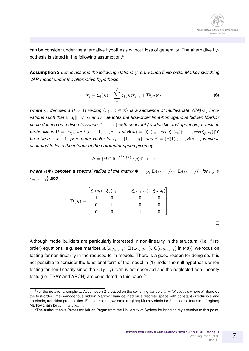

can be consider under the alternative hypothesis without loss of generality. The alternative hypothesis is stated in the following assumption.<sup>8</sup>

**Assumption 2** *Let us assume the following stationary real-valued finite-order Markov switching VAR model under the alternative hypothesis*

$$
\mathbf{y}_t = \boldsymbol{\xi}_0(s_t) + \sum_{i=1}^P \boldsymbol{\xi}_i(s_t) \mathbf{y}_{t-i} + \boldsymbol{\Sigma}(s_t) \mathbf{a}_t,
$$
\n(6)

*where*  $y_t$  *denotes a*  $(k \times 1)$  *vector,*  $\{a_t : t \in \mathbb{Z}\}$  *is a sequence of multivariate WN(0,I) inno*vations such that  $\mathbb{E}\|\mathbf{a}_t\|^4<\infty$  and  $s_t$  denotes the first-order time-homogenous hidden Markov *chain defined on a discrete space* {1, . . . , q} *with constant (irreducible and aperiodic) transition*  $\bm{\mathsf{probabilities}}\ \mathbf{P} = [p_{ij}],\ \bm{\mathsf{for}}\ i,j\in\{1,\ldots,q\}.\ \ \bm{\mathsf{Let}}\ \bm{\beta}(s_t) = (\bm{\xi}_0(s_t)', \mathrm{vec}(\bm{\xi}_1(s_t))',\ldots,\mathrm{vec}(\bm{\xi}_p(s_t))')'$ *be a*  $(k^2 P + k \times 1)$  *parameter vector for*  $s_t \in \{1, ..., q\}$ , and  $\boldsymbol{\beta} = (\boldsymbol{\beta}(1)', ..., \boldsymbol{\beta}(q)')'$ , which is *assumed to lie in the interior of the parameter space given by*

$$
\mathcal{B} = \{ \boldsymbol{\beta} \in \mathbb{R}^{q(k^2 P + k)} : \rho(\Psi) < 1 \},
$$

*where*  $\rho(\Psi)$  *denotes a spectral radius of the matrix*  $\Psi = [p_{ji} \mathbf{D}(s_t = j) \otimes \mathbf{D}(s_t = j)]$ *, for*  $i, j \in$ {1, . . . , q} *and*

$$
\mathbf{D}(s_t) = \begin{bmatrix} \xi_1(s_t) & \xi_2(s_t) & \cdots & \xi_{P-1}(s_t) & \xi_P(s_t) \\ \mathbf{I} & \mathbf{0} & \cdots & \mathbf{0} & \mathbf{0} \\ \mathbf{0} & \mathbf{I} & \cdots & \mathbf{0} & \mathbf{0} \\ \mathbf{0} & \mathbf{0} & \cdots & \mathbf{I} & \mathbf{0} \end{bmatrix}.
$$

Although model builders are particularly interested in non-linearity in the structural (i.e. firstorder) equations (e.g. see matrices  $\mathbf{A}(\bm{\omega}_{S_t,S_{t-1}}),\mathbf{B}(\bm{\omega}_{S_t,S_{t-1}}),\mathbf{C}(\bm{\omega}_{S_t,S_{t-1}})$  in (4a)), we focus on testing for non-linearity in the reduced-form models. There is a good reason for doing so. It is not possible to consider the functional form of the model in (1) under the null hypothesis when testing for non-linearity since the  $\mathbb{E}_{t}(y_{t+1})$  term is not observed and the neglected non-linearity tests (i.e. TSAY and ARCH) are considered in this paper.<sup>9</sup>

 $\Box$ 

<sup>&</sup>lt;sup>8</sup>For the notational simplicity, Assumption 2 is based on the switching variable  $s_t = (S_t, S_{t-1})$ , where  $S_t$  denotes the first-order time-homogenous hidden Markov chain defined on a discrete space with constant (irreducible and aperiodic) transition probabilities. For example, a two state (regime) Markov chain for  $S_t$  implies a four state (regime) Markov chain for  $s_t = (S_t, S_{t-1})$ .

<sup>&</sup>lt;sup>9</sup>The author thanks Professor Adrian Pagan from the University of Sydney for bringing my attention to this point.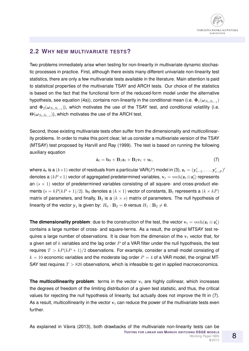#### **2.2 WHY NEW MULTIVARIATE TESTS?**

Two problems immediately arise when testing for non-linearity in multivariate dynamic stochastic processes in practice. First, although there exists many different univariate non-linearity test statistics, there are only a few multivariate tests available in the literature. Main attention is paid to statistical properties of the multivariate TSAY and ARCH tests. Our choice of the statistics is based on the fact that the functional form of the reduced-form model under the alternative hypothesis, see equation (4a)), contains non-linearity in the conditional mean (i.e.  $\mathbf{\Phi}_1(\bm{\omega}_{S_t,S_{t-1}})$ and  $\mathbf{\Phi}_{2}(\bm{\omega}_{S_t,S_{t-1}})$ ), which motivates the use of the TSAY test, and conditional volatility (i.e.  $\Theta(\omega_{S_t,S_{t-1}})$ ), which motivates the use of the ARCH test.

Second, those existing multivariate tests often suffer from the dimensionality and multicollinearity problems. In order to make this point clear, let us consider a multivariate version of the TSAY (MTSAY) test proposed by Harvill and Ray (1999). The test is based on running the following auxiliary equation

$$
\hat{\mathbf{a}}_t = \mathbf{b}_0 + \mathbf{B}_1 \mathbf{z}_t + \mathbf{B}_2 \mathbf{v}_t + \mathbf{u}_t, \tag{7}
$$

where  $\hat{\bf a}_t$  is a  $(k{\times}1)$  vector of residuals from a particular VAR( $P$ ) model in (3),  ${\bf z}_t=(\mathbf{y}'_{t-1},\ldots,\mathbf{y}'_{t-P})'$ denotes a  $(kP \times 1)$  vector of aggregated predetermined variables,  $\mathbf{v}_t = \text{vech}(\mathbf{z}_t \otimes \mathbf{z}'_t)$  represents an  $(s \times 1)$  vector of predetermined variables consisting of all square- and cross-product elements  $(s = kP(kP + 1)/2)$ .  $b_0$  denotes a  $(k \times 1)$  vector of constants,  $B_1$  represents a  $(k \times kP)$ matrix of parameters, and finally,  $B_2$  is a  $(k \times s)$  matrix of parameters. The null hypothesis of linearity of the vector  $\mathbf{y}_t$  is given by:  $H_0: \mathbf{B}_2 = \mathbf{0}$  versus  $H_1: \mathbf{B}_2 \neq \mathbf{0}.$ 

**The dimensionality problem**: due to the construction of the test, the vector  $\mathbf{v}_t = \text{vech}(\mathbf{z}_t \otimes \mathbf{z}'_t)$ contains a large number of cross- and square-terms. As a result, the original MTSAY test requires a large number of observations. It is clear from the dimension of the  $v_t$  vector that, for a given set of  $k$  variables and the lag order  $P$  of a VAR filter under the null hypothesis, the test requires  $T > kP(kP + 1)/2$  observations. For example, consider a small model consisting of  $k = 10$  economic variables and the moderate lag order  $P = 4$  of a VAR model, the original MT-SAY test requires  $T > 820$  observations, which is infeasible to get in applied macroeconomics.

**The multicollinearity problem:** terms in the vector  $v_t$  are highly collinear, which increases the degrees of freedom of the limiting distribution of a given test statistic, and thus, the critical values for rejecting the null hypothesis of linearity, but actually does not improve the fit in (7). As a result, multicollinearity in the vector  $v_t$  can reduce the power of the multivariate tests even further.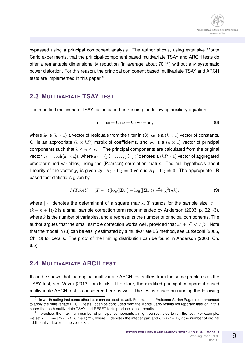

bypassed using a principal component analysis. The author shows, using extensive Monte Carlo experiments, that the principal-component based multivariate TSAY and ARCH tests do offer a remarkable dimensionality reduction (in average about 70 %) without any systematic power distortion. For this reason, the principal component based multivariate TSAY and ARCH tests are implemented in this paper.<sup>10</sup>

#### **2.3 MULTIVARIATE TSAY TEST**

The modified multivariate TSAY test is based on running the following auxiliary equation

$$
\hat{\mathbf{a}}_t = \mathbf{c}_0 + \mathbf{C}_1 \mathbf{z}_t + \mathbf{C}_2 \mathbf{w}_t + \mathbf{u}_t, \tag{8}
$$

where  $\hat{\bf a}_t$  is  $(k\times 1)$  a vector of residuals from the filter in (3),  ${\bf c}_0$  is a  $(k\times 1)$  vector of constants,  $\mathbf{C}_1$  is an appropriate  $(k \times kP)$  matrix of coefficients, and  $\mathbf{w}_t$  is a  $(n \times 1)$  vector of principal components such that  $k \leq n \leq s.$ <sup>11</sup> The principal components are calculated from the original vector  ${\bf v}_t={\rm vech}({\bf z}_t\otimes{\bf z}'_t)$ , where  ${\bf z}_t=({\bf y}'_{t-1},\ldots,{\bf y}'_{t-P})'$  denotes a  $(kP\times 1)$  vector of aggregated predetermined variables, using the (Pearson) correlation matrix. The null hypothesis about linearity of the vector  $\mathbf{y}_t$  is given by:  $H_0$  :  $\mathbf{C}_2=\mathbf{0}$  versus  $H_1$  :  $\mathbf{C}_2\neq\mathbf{0}$ . The appropriate LR based test statistic is given by

$$
MTSAY = (T - \tau)(\log(|\mathbf{\Sigma}_r|) - \log(|\mathbf{\Sigma}_u|)) \stackrel{d}{\longrightarrow} \chi^2(nk),\tag{9}
$$

where  $|\cdot|$  denotes the determinant of a square matrix, T stands for the sample size,  $\tau$  =  $(k+n+1)/2$  is a small sample correction term recommended by Anderson (2003, p. 321-3), where  $k$  is the number of variables, and  $n$  represents the number of principal components. The author argues that the small sample correction works well, provided that  $k^2 + n^2 < T/3$ . Note that the model in (8) can be easily estimated by a multivariate LS method, see Lütkepohl (2005, Ch. 3) for details. The proof of the limiting distribution can be found in Anderson (2003, Ch. 8.5).

#### **2.4 MULTIVARIATE ARCH TEST**

It can be shown that the original multivariate ARCH test suffers from the same problems as the TSAY test, see Vávra (2013) for details. Therefore, the modified principal component based multivariate ARCH test is considered here as well. The test is based on running the following

 $10$ It is worth noting that some other tests can be used as well. For example, Professor Adrian Pagan recommended to apply the multivariate RESET tests. It can be concluded from the Monte Carlo results not reported later on in this paper that both multivariate TSAY and RESET tests produce similar results.

<sup>&</sup>lt;sup>11</sup>In practice, the maximum number of principal components  $s$  might be restricted to run the test. For example, we set  $s = \min\{[T/2], kP(kP + 1)/2\}$ , where [·] denotes the integer part and  $kP(kP + 1)/2$  the number of orginal additional variables in the vector  $v_t$ .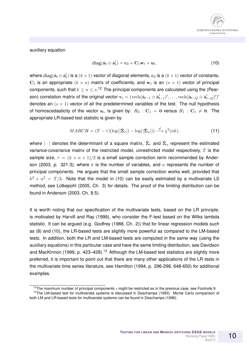

auxiliary equation

$$
\operatorname{diag}(\hat{\mathbf{a}}_t \otimes \hat{\mathbf{a}}_t') = \mathbf{c}_0 + \mathbf{C}_1 \mathbf{w}_t + \mathbf{u}_t, \tag{10}
$$

where  ${\rm diag}(\hat{\bf a}_t\otimes\hat{\bf a}_t')$  is a  $(k\times 1)$  vector of diagonal elements,  ${\bf c}_0$  is a  $(k\times 1)$  vector of constants,  $\mathbf{C}_1$  is an appropriate  $(k \times n)$  matrix of coefficients, and  $\mathbf{w}_t$  is an  $(n \times 1)$  vector of principal components, such that  $k \leq n \leq s$ .<sup>12</sup> The principal components are calculated using the (Pearson) correlation matrix of the original vector  ${\bf v}_t=(\text{vech}(\hat{{\bf a}}_{t-1}\otimes\hat{{\bf a}}'_{t-1})',\ldots,\text{vech}(\hat{{\bf a}}_{t-Q}\otimes\hat{{\bf a}}'_{t-Q})')'$ denotes an  $(s \times 1)$  vector of all the predetermined variables of the test. The null hypothesis of homoscedasticity of the vector  $\mathbf{a}_t,$  is given by:  $H_0$  :  $\mathbf{C}_1$  = 0 versus  $H_1$  :  $\mathbf{C}_1$   $\neq$  0. The appropriate LR-based test statistic is given by

$$
MARCH = (T - \tau)(\log(|\hat{\Sigma}_r|) - \log(|\hat{\Sigma}_u|)) \stackrel{d}{\longrightarrow} \chi^2(nk),
$$
\n(11)

where  $|\cdot|$  denotes the determinant of a square matrix,  $\hat{\Sigma}_r$  and  $\hat{\Sigma}_u$  represent the estimated variance-covariance matrix of the restricted model, unrestricted model respectively,  $T$  is the sample size,  $\tau = (k + n + 1)/2$  is a small sample correction term recommended by Anderson (2003, p. 321-3), where k is the number of variables, and n represents the number of principal components. He argues that the small sample correction works well, provided that  $k^2 + n^2 < T/3$ . Note that the model in (10) can be easily estimated by a multivariate LS method, see Lütkepohl (2005, Ch. 3) for details. The proof of the limiting distribution can be found in Anderson (2003, Ch. 8.5).

It is worth noting that our specification of the multivariate tests, based on the LR principle, is motivated by Harvill and Ray (1999), who consider the F-test based on the Wilks lambda statistic. It can be argued (e.g. Godfrey (1988, Ch. 2)) that for linear regression models such as (8) and (10), the LR-based tests are slightly more powerful as compared to the LM-based tests. In addition, both the LR and LM-based tests are computed in the same way (using the auxiliary equations) in this particular case and have the same limiting distribution, see Davidson and MacKinnon (1999, p. 423–428).<sup>13</sup> Although the LM-based test statistics are slightly more preferred, it is important to point out that there are many other applications of the LR tests in the multivariate time series literature, see Hamilton (1994, p. 296-298, 648-650) for additional examples.

<sup>&</sup>lt;sup>12</sup>The maximum number of principal components  $s$  might be restricted as in the previous case, see Footnote 9 <sup>13</sup>The LM-based test for multivariate systems is discussed in Deschamps (1993). Monte Carlo comparison of both LM and LR-based tests for multivariate systems can be found in Deschamps (1996).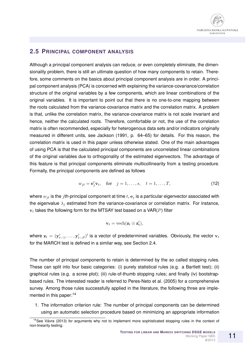#### **2.5 PRINCIPAL COMPONENT ANALYSIS**

Although a principal component analysis can reduce, or even completely eliminate, the dimensionality problem, there is still an ultimate question of how many components to retain. Therefore, some comments on the basics about principal component analysis are in order. A principal component analysis (PCA) is concerned with explaining the variance-covariance/correlation structure of the original variables by a few components, which are linear combinations of the original variables. It is important to point out that there is no one-to-one mapping between the roots calculated from the variance-covariance matrix and the correlation matrix. A problem is that, unlike the correlation matrix, the variance-covariance matrix is not scale invariant and hence, neither the calculated roots. Therefore, comfortable or not, the use of the correlation matrix is often recommended, especially for heterogenous data sets and/or indicators originally measured in different units, see Jackson (1991, p. 64–65) for details. For this reason, the correlation matrix is used in this paper unless otherwise stated. One of the main advantages of using PCA is that the calculated principal components are uncorrelated linear combinations of the original variables due to orthogonality of the estimated eigenvectors. The advantage of this feature is that principal components eliminate multicollinearity from a testing procedure. Formally, the principal components are defined as follows

$$
w_{jt} = \mathbf{e}'_j \mathbf{v}_t, \quad \text{for} \quad j = 1, \dots, s, \quad t = 1, \dots, T,
$$
 (12)

where  $w_{it}$  is the jth-principal component at time  $t$ ,  $e_i$  is a particular eigenvector associated with the eigenvalue  $\lambda_i$  estimated from the variance-covariance or correlation matrix. For instance,  $\mathbf{v}_t$  takes the following form for the MTSAY test based on a VAR(P) filter

$$
\mathbf{v}_t = \text{vech}(\mathbf{z}_t \otimes \mathbf{z}'_t),
$$

where  $\mathbf{z}_t = (\mathbf{y}'_{t-1}, \dots, \mathbf{y}'_{t-P})'$  is a vector of predetermined variables. Obviously, the vector  $\mathbf{v}_t$ for the MARCH test is defined in a similar way, see Section 2.4.

The number of principal components to retain is determined by the so called stopping rules. These can split into four basic categories: (i) purely statistical rules (e.g. a Bartlett test); (ii) graphical rules (e.g. a scree plot); (iii) rule-of-thumb stopping rules; and finally (iv) bootstrapbased rules. The interested reader is referred to Peres-Neto et al. (2005) for a comprehensive survey. Among those rules successfully applied in the literature, the following three are implemented in this paper:<sup>14</sup>

1. The information criterion rule: The number of principal components can be determined using an automatic selection procedure based on minimizing an appropriate information

 $14$ See Vávra (2013) for arguments why not to implement more sophisticated stopping rules in the context of non-linearity testing.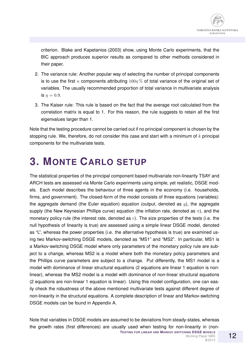criterion. Blake and Kapetanios (2003) show, using Monte Carlo experiments, that the BIC approach produces superior results as compared to other methods considered in their paper.

- 2. The variance rule: Another popular way of selecting the number of principal components is to use the first n components attributing  $100n\%$  of total variance of the original set of variables. The usually recommended proportion of total variance in multivariate analysis is  $\eta = 0.9$ .
- 3. The Kaiser rule: This rule is based on the fact that the average root calculated from the correlation matrix is equal to 1. For this reason, the rule suggests to retain all the first eigenvalues larger than 1.

Note that the testing procedure cannot be carried out if no principal component is chosen by the stopping rule. We, therefore, do not consider this case and start with a minimum of  $k$  principal components for the multivariate tests.

### **3. MONTE CARLO SETUP**

The statistical properties of the principal component based multivariate non-linearity TSAY and ARCH tests are assessed via Monte Carlo experiments using simple, yet realistic, DSGE models. Each model describes the behaviour of three agents in the economy (i.e. households, firms, and government). The closed-form of the model consists of three equations (variables): the aggregate demand (the Euler equation) equation (output, denoted as  $y$ ), the aggregate supply (the New Keynesian Phillips curve) equation (the inflation rate, denoted as  $\pi$ ), and the monetary policy rule (the interest rate, denoted as  $r$ ). The size properties of the tests (i.e. the null hypothesis of linearity is true) are assessed using a simple linear DSGE model, denoted as "L", whereas the power properties (i.e. the alternative hypothesis is true) are examined using two Markov-switching DSGE models, denoted as "MS1" and "MS2". In particular, MS1 is a Markov-switching DSGE model where only parameters of the monetary policy rule are subject to a change, whereas MS2 is a model where both the monetary policy parameters and the Phillips curve parameters are subject to a change. Put differently, the MS1 model is a model with dominance of linear structural equations (2 equations are linear 1 equation is nonlinear), whereas the MS2 model is a model with dominance of non-linear structural equations (2 equations are non-linear 1 equation is linear). Using this model configuration, one can easily check the robustness of the above mentioned multivariate tests against different degree of non-linearity in the structural equations. A complete description of linear and Markov-switching DSGE models can be found in Appendix A.

Note that variables in DSGE models are assumed to be deviations from steady-states, whereas the growth rates (first differences) are usually used when testing for non-linearity in (non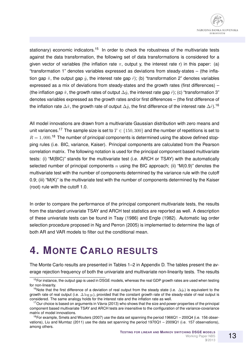stationary) economic indicators.<sup>15</sup> In order to check the robustness of the multivariate tests against the data transformation, the following set of data transformations is considered for a given vector of variables (the inflation rate  $\pi$ , output y, the interest rate r) in this paper: (a) "transformation 1" denotes variables expressed as deviations from steady-states – (the inflation gap  $\hat{\pi}$ , the output gap  $\hat{y}$ , the interest rate gap  $\hat{r}$ ); (b) "transformation 2" denotes variables expressed as a mix of deviations from steady-states and the growth rates (first differences) – (the inflation gap  $\hat{\pi}$ , the growth rates of output  $\Delta\hat{y}$ , the interest rate gap  $\hat{r}$ ); (c) "transformation 3" denotes variables expressed as the growth rates and/or first differences – (the first difference of the inflation rate  $\Delta\hat{\pi}$ , the growth rate of output  $\Delta\hat{y}$ , the first difference of the interest rate  $\Delta\hat{r}$ ).<sup>16</sup>

All model innovations are drawn from a multivariate Gaussian distribution with zero means and unit variances.<sup>17</sup> The sample size is set to  $T \in \{150, 300\}$  and the number of repetitions is set to  $R = 1,000$ .<sup>18</sup> The number of principal components is determined using the above defined stopping rules (i.e. BIC, variance, Kaiser). Principal components are calculated from the Pearson correlation matrix. The following notation is used for the principal component based multivariate tests: (i) "M(BIC)" stands for the multivariate test (i.e. ARCH or TSAY) with the automatically selected number of principal components n using the BIC approach; (ii) " $M(0.9)$ " denotes the multivariate test with the number of components determined by the variance rule with the cutoff 0.9; (iii) "M(K)" is the multivariate test with the number of components determined by the Kaiser (root) rule with the cutoff 1.0.

In order to compare the performance of the principal component multivariate tests, the results from the standard univariate TSAY and ARCH test statistics are reported as well. A description of these univariate tests can be found in Tsay (1986) and Engle (1982). Automatic lag order selection procedure proposed in Ng and Perron (2005) is implemented to determine the lags of both AR and VAR models to filter out the conditional mean.

### **4. MONTE CARLO RESULTS**

The Monte Carlo results are presented in Tables 1–2 in Appendix D. The tables present the average rejection frequency of both the univariate and multivariate non-linearity tests. The results

<sup>&</sup>lt;sup>15</sup>For instance, the output gap is used in DSGE models, whereas the real GDP growth rates are used when testing for non-linearity.

<sup>&</sup>lt;sup>16</sup>Note that the first difference of a deviation of real output from the steady state (i.e.  $\Delta\hat{y}_t$ ) is equivalent to the growth rate of real output (i.e.  $\Delta \log y_t$ ), provided that the constant growth rate of the steady-state of real output is considered. The same analogy holds for the interest rate and the inflation rate as well.

 $17$ Our choice is based on arguments in Vávra (2013) who shows that the size and power properties of the principal component based multivariate TSAY and ARCH tests are insensitive to the configuration of the variance-covariance matrix of model innovations.

 $18$  For example, Smets and Wouters (2007) use the data set spanning the period 1966Q1 – 200Q4 (i.e. 156 observations), Liu and Mumtaz (2011) use the data set spanning the period 1970Q1 – 2009Q1 (i.e. 157 observations), among others.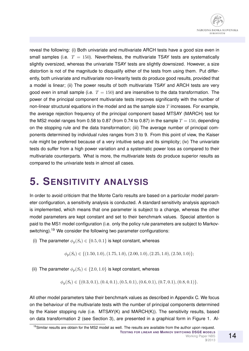reveal the following: (i) Both univariate and multivariate ARCH tests have a good size even in small samples (i.e.  $T = 150$ ). Nevertheless, the multivariate TSAY tests are systematically slightly oversized, whereas the univariate TSAY tests are slightly downsized. However, a size distortion is not of the magnitude to disqualify either of the tests from using them. Put differently, both univariate and multivariate non-linearity tests do produce good results, provided that a model is linear; (ii) The power results of both multivariate TSAY and ARCH tests are very good even in small sample (i.e.  $T = 150$ ) and are insensitive to the data transformation. The power of the principal component multivariate tests improves significantly with the number of non-linear structural equations in the model and as the sample size  $T$  increases. For example, the average rejection frequency of the principal component based MTSAY (MARCH) test for the MS2 model ranges from 0.58 to 0.87 (from 0.74 to 0.87) in the sample  $T = 150$ , depending on the stopping rule and the data transformation; (iii) The average number of principal components determined by individual rules ranges from 3 to 9. From this point of view, the Kaiser rule might be preferred because of a very intuitive setup and its simplicity; (iv) The univariate tests do suffer from a high power variation and a systematic power loss as compared to their multivariate counterparts. What is more, the multivariate tests do produce superior results as compared to the univariate tests in almost all cases.

### **5. SENSITIVITY ANALYSIS**

In order to avoid criticism that the Monte Carlo results are based on a particular model parameter configuration, a sensitivity analysis is conducted. A standard sensitivity analysis approach is implemented, which means that one parameter is subject to a change, whereas the other model parameters are kept constant and set to their benchmark values. Special attention is paid to the MS1 model configuration (i.e. only the policy rule parameters are subject to Markovswitching).<sup>19</sup> We consider the following two parameter configurations:

(i) The parameter  $\phi_u(S_t) \in \{0.5, 0.1\}$  is kept constant, whereas

 $\phi_n(S_t) \in \{(1.50, 1.0), (1.75, 1.0), (2.00, 1.0), (2.25, 1.0), (2.50, 1.0)\};$ 

(ii) The parameter  $\phi_p(S_t) \in \{2.0, 1.0\}$  is kept constant, whereas

 $\phi_u(S_t) \in \{(0.3, 0.1), (0.4, 0.1), (0.5, 0.1), (0.6, 0.1), (0.7, 0.1), (0.8, 0.1)\}.$ 

All other model parameters take their benchmark values as described in Appendix C. We focus on the behaviour of the multivariate tests with the number of principal components determined by the Kaiser stopping rule (i.e. MTSAY(K) and MARCH(K)). The sensitivity results, based on data transformation 2 (see Section 3), are presented in a graphical form in Figure 1. Al-

 $19$ Similar results are obtain for the MS2 model as well. The results are available from the author upon request. **TESTING FOR LINEAR AND MARKOV SWITCHING DSGE MODELS** Working Paper NBS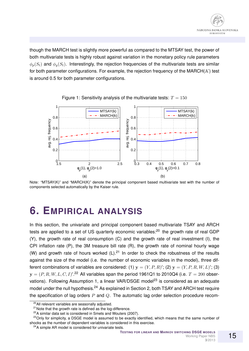though the MARCH test is slightly more powerful as compared to the MTSAY test, the power of both multivariate tests is highly robust against variation in the monetary policy rule parameters  $\phi_n(S_t)$  and  $\phi_n(S_t)$ . Interestingly, the rejection frequencies of the multivariate tests are similar for both parameter configurations. For example, the rejection frequency of the MARCH $(K)$  test is around 0.5 for both parameter configurations.





Note: "MTSAY(K)" and "MARCH(K)" denote the principal component based multivariate test with the number of components selected automatically by the Kaiser rule.

### **6. EMPIRICAL ANALYSIS**

In this section, the univariate and principal component based multivariate TSAY and ARCH tests are applied to a set of US quarterly economic variables:<sup>20</sup> the growth rate of real GDP (Y), the growth rate of real consumption (C) and the growth rate of real investment (I), the CPI inflation rate (P), the 3M treasure bill rate (R), the growth rate of nominal hourly wage (W) and growth rate of hours worked  $(L)$ .<sup>21</sup> In order to check the robustness of the results against the size of the model (i.e. the number of economic variables in the model), three different combinations of variables are considered: (1)  $y = (Y, P, R)'$ ; (2)  $y = (Y, P, R, W, L)'$ ; (3)  ${\bf y}=(P,R,W,L,C,I)'.$ <sup>22</sup> All variables span the period 1961Q1 to 2010Q4 (i.e.  $T=200$  observations). Following Assumption 1, a linear VAR/DSGE model<sup>23</sup> is considered as an adequate model under the null hypothesis.<sup>24</sup> As explained in Section 2, both TSAY and ARCH test require the specification of lag orders  $P$  and  $Q$ . The automatic lag order selection procedure recom-

<sup>&</sup>lt;sup>20</sup>All relevant variables are seasonally adjusted.

 $21$ Note that the growth rate is defined as the log-difference.

<sup>&</sup>lt;sup>22</sup>A similar data set is considered in Smets and Wouters (2007).

<sup>&</sup>lt;sup>23</sup>Only for simplicity, a DSGE model is assumed to be exactly identified, which means that the same number of shocks as the number of dependent variables is considered in this exercise.

<sup>&</sup>lt;sup>24</sup>A simple AR model is considered for univariate tests.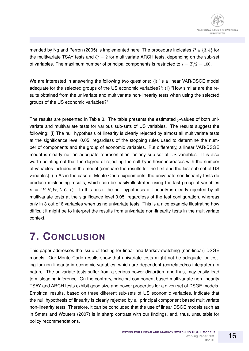mended by Ng and Perron (2005) is implemented here. The procedure indicates  $P \in \{3, 4\}$  for the multivariate TSAY tests and  $Q = 2$  for multivariate ARCH tests, depending on the sub-set of variables. The maximum number of principal components is restricted to  $s = T/2 = 100$ .

We are interested in answering the following two questions: (i) "Is a linear VAR/DSGE model adequate for the selected groups of the US economic variables?"; (ii) "How similar are the results obtained from the univariate and multivariate non-linearity tests when using the selected groups of the US economic variables?"

The results are presented in Table 3. The table presents the estimated  $p$ -values of both univariate and multivariate tests for various sub-sets of US variables. The results suggest the following: (i) The null hypothesis of linearity is clearly rejected by almost all multivariate tests at the significance level 0.05, regardless of the stopping rules used to determine the number of components and the group of economic variables. Put differently, a linear VAR/DSGE model is clearly not an adequate representation for any sub-set of US variables. It is also worth pointing out that the degree of rejecting the null hypothesis increases with the number of variables included in the model (compare the results for the first and the last sub-set of US variables); (ii) As in the case of Monte Carlo experiments, the univariate non-linearity tests do produce misleading results, which can be easily illustrated using the last group of variables  $y = (P, R, W, L, C, I)'$ . In this case, the null hypothesis of linearity is clearly rejected by all multivariate tests at the significance level 0.05, regardless of the test configuration, whereas only in 3 out of 6 variables when using univariate tests. This is a nice example illustrating how difficult it might be to interpret the results from univariate non-linearity tests in the multivariate context.

### **7. CONCLUSION**

This paper addresses the issue of testing for linear and Markov-switching (non-linear) DSGE models. Our Monte Carlo results show that univariate tests might not be adequate for testing for non-linearity in economic variables, which are dependent (correlated/co-integrated) in nature. The univariate tests suffer from a serious power distortion, and thus, may easily lead to misleading inference. On the contrary, principal component based multivariate non-linearity TSAY and ARCH tests exhibit good size and power properties for a given set of DSGE models. Empirical results, based on three different sub-sets of US economic variables, indicate that the null hypothesis of linearity is clearly rejected by all principal component based multivariate non-linearity tests. Therefore, it can be concluded that the use of linear DSGE models such as in Smets and Wouters (2007) is in sharp contrast with our findings, and, thus, unsuitable for policy recommendations.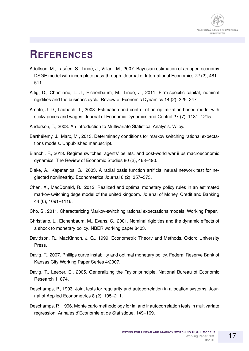

### **REFERENCES**

- Adolfson, M., Laséen, S., Lindé, J., Villani, M., 2007. Bayesian estimation of an open economy DSGE model with incomplete pass-through. Journal of International Economics 72 (2), 481– 511.
- Altig, D., Christiano, L. J., Eichenbaum, M., Linde, J., 2011. Firm-specific capital, nominal rigidities and the business cycle. Review of Economic Dynamics 14 (2), 225–247.
- Amato, J. D., Laubach, T., 2003. Estimation and control of an optimization-based model with sticky prices and wages. Journal of Economic Dynamics and Control 27 (7), 1181–1215.
- Anderson, T., 2003. An Introduction to Multivariate Statistical Analysis. Wiley.
- Barthélemy, J., Marx, M., 2013. Determinacy conditions for markov switching rational expectations models. Unpublished manuscript.
- Bianchi, F., 2013. Regime switches, agents' beliefs, and post-world war ii us macroeconomic dynamics. The Review of Economic Studies 80 (2), 463–490.
- Blake, A., Kapetanios, G., 2003. A radial basis function artificial neural network test for neglected nonlinearity. Econometrics Journal 6 (2), 357–373.
- Chen, X., MacDonald, R., 2012. Realized and optimal monetary policy rules in an estimated markov-switching dsge model of the united kingdom. Journal of Money, Credit and Banking 44 (6), 1091–1116.
- Cho, S., 2011. Characterizing Markov-switching rational expectations models. Working Paper.
- Christiano, L., Eichenbaum, M., Evans, C., 2001. Nominal rigidities and the dynamic effects of a shock to monetary policy. NBER working paper 8403.
- Davidson, R., MacKinnon, J. G., 1999. Econometric Theory and Methods. Oxford University Press.
- Davig, T., 2007. Phillips curve instability and optimal monetary policy. Federal Reserve Bank of Kansas City Working Paper Series 4/2007.
- Davig, T., Leeper, E., 2005. Generalizing the Taylor principle. National Bureau of Economic Research 11874.
- Deschamps, P., 1993. Joint tests for regularity and autocorrelation in allocation systems. Journal of Applied Econometrics 8 (2), 195–211.
- Deschamps, P., 1996. Monte carlo methodology for lm and lr autocorrelation tests in multivariate regression. Annales d'Economie et de Statistique, 149–169.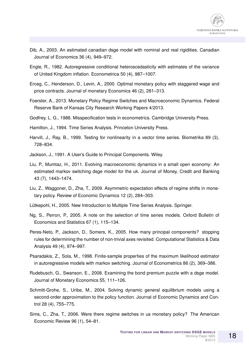

- Dib, A., 2003. An estimated canadian dsge model with nominal and real rigidities. Canadian Journal of Economics 36 (4), 949–972.
- Engle, R., 1982. Autoregressive conditional heteroscedasticity with estimates of the variance of United Kingdom inflation. Econometrica 50 (4), 987–1007.
- Erceg, C., Henderson, D., Levin, A., 2000. Optimal monetary policy with staggered wage and price contracts. Journal of monetary Economics 46 (2), 281–313.
- Foerster, A., 2013. Monetary Policy Regime Switches and Macroeconomic Dynamics. Federal Reserve Bank of Kansas City Research Working Papers 4/2013.
- Godfrey, L. G., 1988. Misspecification tests in econometrics. Cambridge University Press.
- Hamilton, J., 1994. Time Series Analysis. Princeton University Press.
- Harvill, J., Ray, B., 1999. Testing for nonlinearity in a vector time series. Biometrika 89 (3), 728–834.
- Jackson, J., 1991. A User's Guide to Principal Components. Wiley.
- Liu, P., Mumtaz, H., 2011. Evolving macroeconomic dynamics in a small open economy: An estimated markov switching dsge model for the uk. Journal of Money, Credit and Banking 43 (7), 1443–1474.
- Liu, Z., Waggoner, D., Zha, T., 2009. Asymmetric expectation effects of regime shifts in monetary policy. Review of Economic Dynamics 12 (2), 284–303.
- Lütkepohl, H., 2005. New Introduction to Multiple Time Series Analysis. Springer.
- Ng, S., Perron, P., 2005. A note on the selection of time series models. Oxford Bulletin of Economics and Statistics 67 (1), 115–134.
- Peres-Neto, P., Jackson, D., Somers, K., 2005. How many principal components? stopping rules for determining the number of non-trivial axes revisited. Computational Statistics & Data Analysis 49 (4), 974–997.
- Psaradakis, Z., Sola, M., 1998. Finite-sample properties of the maximum likelihood estimator in autoregressive models with markov switching. Journal of Econometrics 86 (2), 369–386.
- Rudebusch, G., Swanson, E., 2008. Examining the bond premium puzzle with a dsge model. Journal of Monetary Economics 55, 111–126.
- Schmitt-Grohe, S., Uribe, M., 2004. Solving dynamic general equilibrium models using a second-order approximation to the policy function. Journal of Economic Dynamics and Control 28 (4), 755–775.
- Sims, C., Zha, T., 2006. Were there regime switches in us monetary policy? The American Economic Review 96 (1), 54–81.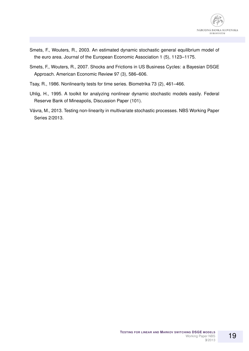

- Smets, F., Wouters, R., 2003. An estimated dynamic stochastic general equilibrium model of the euro area. Journal of the European Economic Association 1 (5), 1123–1175.
- Smets, F., Wouters, R., 2007. Shocks and Frictions in US Business Cycles: a Bayesian DSGE Approach. American Economic Review 97 (3), 586–606.
- Tsay, R., 1986. Nonlinearity tests for time series. Biometrika 73 (2), 461–466.
- Uhlig, H., 1995. A toolkit for analyzing nonlinear dynamic stochastic models easily. Federal Reserve Bank of Mineapolis, Discussion Paper (101).
- Vávra, M., 2013. Testing non-linearity in multivariate stochastic processes. NBS Working Paper Series 2/2013.

19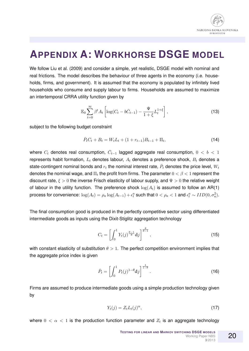

### **APPENDIX A: WORKHORSE DSGE MODEL**

We follow Liu et al. (2009) and consider a simple, yet realistic, DSGE model with nominal and real frictions. The model describes the behaviour of three agents in the economy (i.e. households, firms, and government). It is assumed that the economy is populated by infinitely lived households who consume and supply labour to firms. Households are assumed to maximize an intertemporal CRRA utility function given by

$$
\mathbb{E}_0 \sum_{t=0}^{\infty} \beta^t A_t \left[ \log(C_t - b\bar{C}_{t-1}) - \frac{\Psi}{1+\xi} L_t^{1+\xi} \right],
$$
\n(13)

subject to the following budget constraint

$$
\bar{P}_t C_t + B_t = W_t L_t + (1 + r_{t-1}) B_{t-1} + \Pi_t,
$$
\n(14)

where  $C_t$  denotes real consumption,  $\bar{C}_{t-1}$  lagged aggregate real consumption,  $0 < b < 1$ represents habit formation,  $L_t$  denotes labour,  $A_t$  denotes a preference shock,  $B_t$  denotes a state-contingent nominal bonds and  $r_t$  the nominal interest rate,  $\bar{P}_t$  denotes the price level,  $W_t$ denotes the nominal wage, and  $\Pi_t$  the profit from firms. The parameter  $0 < \beta < 1$  represent the discount rate,  $\xi > 0$  the inverse Frisch elasticity of labour supply, and  $\Psi > 0$  the relative weight of labour in the utility function. The preference shock  $log(A_t)$  is assumed to follow an AR(1) process for convenience:  $\log(A_t) = \rho_a \log(A_{t-1}) + \epsilon_t^a$  such that  $0 < \rho_a < 1$  and  $\epsilon_t^a \sim IID(0,\sigma_a^2).$ 

The final consumption good is produced in the perfectly competitive sector using differentiated intermediate goods as inputs using the Dixit-Stiglitz aggregation technology

$$
C_t = \left[ \int_0^1 Y_t(j)^{\frac{\theta - 1}{\theta}} \mathrm{d}j \right]^{\frac{\theta}{\theta - 1}},\tag{15}
$$

with constant elasticity of substitution  $\theta > 1$ . The perfect competition environment implies that the aggregate price index is given

$$
\bar{P}_t = \left[ \int_0^1 P_t(j)^{1-\theta} \mathrm{d}j \right]^{\frac{1}{1-\theta}}.
$$
\n(16)

Firms are assumed to produce intermediate goods using a simple production technology given by

$$
Y_t(j) = Z_t L_t(j)^\alpha, \tag{17}
$$

where  $0 < \alpha < 1$  is the production function parameter and  $Z_t$  is an aggregate technology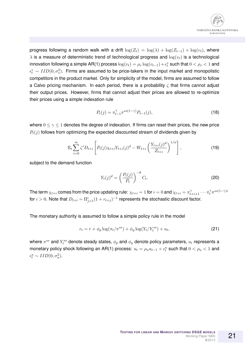

progress following a random walk with a drift  $\log(Z_t) = \log(\lambda) + \log(Z_{t-1}) + \log(v_t)$ , where  $\lambda$  is a measure of deterministic trend of technological progress and  $\log(v_t)$  is a technological innovation following a simple AR(1) process  $\log(v_t) = \rho_v \log(v_{t-1}) + \epsilon_t^v$  such that  $0 < \rho_v < 1$  and  $\epsilon^v_t \sim IID(0,\sigma_v^2).$  Firms are assumed to be price-takers in the input market and monopolistic competitors in the product market. Only for simplicity of the model, firms are assumed to follow a Calvo pricing mechanism. In each period, there is a probability  $\zeta$  that firms cannot adjust their output prices. However, firms that cannot adjust their prices are allowed to re-optimize their prices using a simple indexation rule

$$
P_t(j) = \pi_{t-1}^{\gamma} \pi^{ss(1-\gamma)} P_{t-1}(j),
$$
\n(18)

where  $0 \le \gamma \le 1$  denotes the degree of indexation. If firms can reset their prices, the new price  $P_t(j)$  follows from optimizing the expected discounted stream of dividends given by

$$
\mathbb{E}_{t} \sum_{i=0}^{\infty} \zeta^{i} D_{t+i} \left[ P_{t}(j) \chi_{t+i} Y_{t+i}(j)^{d} - W_{t+i} \left( \frac{Y_{t+i}(j)^{d}}{Z_{t+i}} \right)^{1/\alpha} \right],
$$
 (19)

subject to the demand function

$$
Y_t(j)^d = \left(\frac{P_t(j)}{\bar{P}_t}\right)^{-\theta} C_t.
$$
\n(20)

The term  $\chi_{t+i}$  comes from the price updating rule:  $\chi_{t+i}=1$  for  $i=0$  and  $\chi_{t+i}=\pi_{t+i+1}^\gamma\cdots\pi_t^\gamma\pi^{ss(1-\gamma)i}$ for  $i>0.$  Note that  $D_{t+i}=\Pi_{j=1}^i(1+r_{t+j})^{-1}$  represents the stochastic discount factor.

The monetary authority is assumed to follow a simple policy rule in the model

$$
r_t = r + \phi_p \log(\pi_t/\pi^{ss}) + \phi_y \log(Y_t/Y_t^{ss}) + u_t,
$$
\n(21)

where  $\pi^{ss}$  and  $Y_t^{ss}$  denote steady states,  $\phi_p$  and  $\phi_y$  denote policy parameters,  $u_t$  represents a monetary policy shock following an AR(1) process:  $u_t = \rho_u u_{t-1} + \epsilon_t^u$  such that  $0 < \rho_u < 1$  and  $\epsilon_t^u \sim IID(0, \sigma_u^2).$ 

21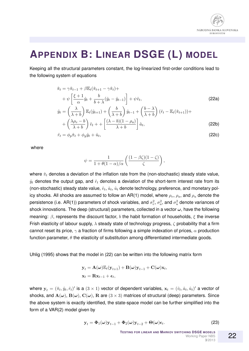

### **APPENDIX B: LINEAR DSGE (L) MODEL**

Keeping all the structural parameters constant, the log-linearized first-order conditions lead to the following system of equations

$$
\hat{\pi}_t = \gamma \hat{\pi}_{t-1} + \beta \mathbb{E}_t (\hat{\pi}_{t+1} - \gamma \hat{\pi}_t) + \n+ \psi \left[ \frac{\xi + 1}{\alpha} \hat{y}_t + \frac{b}{b + \lambda} (\hat{y}_t - \hat{y}_{t-1}) \right] + \psi \hat{v}_t, \n\hat{y}_t = \left( \frac{\lambda}{\lambda + b} \right) \mathbb{E}_t (\hat{y}_{t+1}) + \left( \frac{b}{\lambda + b} \right) \hat{y}_{t-1} + \left( \frac{b - \lambda}{\lambda + b} \right) (\hat{r}_t - \mathbb{E}_t (\hat{\pi}_{t+1})) + \n+ \left( \frac{\lambda \rho_v - b}{\lambda + b} \right) \hat{v}_t + + \left[ \frac{(\lambda - b)(1 - \rho_a)}{\lambda + b} \right] \hat{a}_t,
$$
\n(22b)

$$
\hat{r}_t = \phi_p \hat{\pi}_t + \phi_y \hat{y}_t + \hat{u}_t,\tag{22c}
$$

where

$$
\psi = \frac{1}{1 + \theta(1 - \alpha)/\alpha} \left( \frac{(1 - \beta \zeta)(1 - \zeta)}{\zeta} \right),\,
$$

where  $\hat{\pi}_t$  denotes a deviation of the inflation rate from the (non-stochastic) steady state value,  $\hat{y}_t$  denotes the output gap, and  $\hat{r}_t$  denotes a deviation of the short-term interest rate from its (non-stochastic) steady state value,  $\hat{v}_t$ ,  $\hat{a}_t$ ,  $\hat{u}_t$  denote technology, preference, and monetary policy shocks. All shocks are assumed to follow an AR(1) model, where  $\rho_v$ ,  $\rho_a$ , and  $\rho_u$  denote the persistence (i.e. AR(1)) parameters of shock variables, and  $\sigma_v^2$ ,  $\sigma_a^2$ , and  $\sigma_u^2$  denote variances of shock innovations. The deep (structural) parameters, collected in a vector  $\omega$ , have the following meaning:  $\beta$ , represents the discount factor, b the habit formation of households,  $\xi$  the inverse Frish elasticity of labour supply,  $\lambda$  steady state of technology progress,  $\zeta$  probability that a firm cannot reset its price,  $\gamma$  a fraction of firms following a simple indexation of prices,  $\alpha$  production function parameter,  $\theta$  the elasticity of substitution among differentiated intermediate goods.

Uhlig (1995) shows that the model in (22) can be written into the following matrix form

$$
\mathbf{y}_{t} = \mathbf{A}(\boldsymbol{\omega}) \mathbb{E}_{t}(\mathbf{y}_{t+1}) + \mathbf{B}(\boldsymbol{\omega}) \mathbf{y}_{t-1} + \mathbf{C}(\boldsymbol{\omega}) \mathbf{x}_{t},
$$
  

$$
\mathbf{x}_{t} = \mathbf{R} \mathbf{x}_{t-1} + \boldsymbol{\epsilon}_{t},
$$

where  $\mathbf{y}_t = (\hat{\pi}_t, \hat{y}_t, \hat{r}_t)'$  is a  $(3 \times 1)$  vector of dependent variables,  $\mathbf{x}_t = (\hat{v}_t, \hat{a}_t, \hat{u}_t)'$  a vector of shocks, and  $A(\omega)$ ,  $B(\omega)$ ,  $C(\omega)$ , R are  $(3 \times 3)$  matrices of structural (deep) parameters. Since the above system is exactly identified, the state-space model can be further simplified into the form of a VAR(2) model given by

$$
\mathbf{y}_t = \mathbf{\Phi}_1(\boldsymbol{\omega})\mathbf{y}_{t-1} + \mathbf{\Phi}_2(\boldsymbol{\omega})\mathbf{y}_{t-2} + \mathbf{\Theta}(\boldsymbol{\omega})\boldsymbol{\epsilon}_t.
$$
 (23)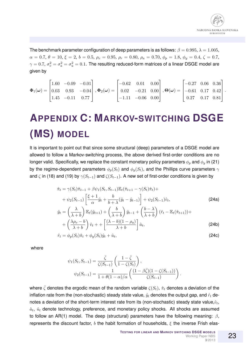The benchmark parameter configuration of deep parameters is as follows:  $\beta = 0.995$ ,  $\lambda = 1.005$ ,  $\alpha = 0.7, \theta = 10, \xi = 2, b = 0.5, \rho_v = 0.95, \rho_r = 0.80, \rho_a = 0.70, \phi_p = 1.8, \phi_y = 0.4, \zeta = 0.7,$  $\gamma=0.7,$   $\sigma_v^2=\sigma_a^2=\sigma_u^2=0.1.$  The resulting reduced-form matrices of a linear DSGE model are given by

$$
\mathbf{\Phi}_1(\boldsymbol{\omega}) = \begin{bmatrix} 1.60 & -0.09 & -0.01 \\ 0.03 & 0.93 & -0.04 \\ 1.45 & -0.11 & 0.77 \end{bmatrix}, \mathbf{\Phi}_2(\boldsymbol{\omega}) = \begin{bmatrix} -0.62 & 0.01 & 0.00 \\ 0.02 & -0.21 & 0.00 \\ -1.11 & -0.06 & 0.00 \end{bmatrix}, \mathbf{\Theta}(\boldsymbol{\omega}) = \begin{bmatrix} -0.27 & 0.06 & 0.36 \\ -0.61 & 0.17 & 0.42 \\ 0.27 & 0.17 & 0.81 \end{bmatrix}.
$$

## **APPENDIX C: MARKOV-SWITCHING DSGE (MS) MODEL**

It is important to point out that since some structural (deep) parameters of a DSGE model are allowed to follow a Markov-switching process, the above derived first-order conditions are no longer valid. Specifically, we replace the constant monetary policy parameters  $\phi_p$  and  $\phi_y$  in (21) by the regime-dependent parameters  $\phi_p(S_t)$  and  $\phi_y(S_t)$ , and the Phillips curve parameters  $\gamma$ and  $\zeta$  in (18) and (19) by  $\gamma(S_{t-1})$  and  $\zeta(S_{t-1})$ . A new set of first-order conditions is given by

$$
\hat{\pi}_t = \gamma(S_t)\hat{\pi}_{t-1} + \beta\psi_1(S_t, S_{t-1})\mathbb{E}_t(\hat{\pi}_{t+1} - \gamma(S_t)\hat{\pi}_t) + \n+ \psi_2(S_{t-1})\left[\frac{\xi+1}{\alpha}\hat{y}_t + \frac{b}{b+\lambda}(\hat{y}_t - \hat{y}_{t-1})\right] + \psi_2(S_{t-1})\hat{v}_t, \tag{24a}
$$
\n
$$
\hat{y}_t = \left(\frac{\lambda}{\lambda+b}\right)\mathbb{E}_t(\hat{y}_{t+1}) + \left(\frac{b}{\lambda+b}\right)\hat{y}_{t-1} + \left(\frac{b-\lambda}{\lambda+b}\right)(\hat{r}_t - \mathbb{E}_t(\hat{\pi}_{t+1})) + \n+ \left(\frac{\lambda\rho_v - b}{\lambda+b}\right)\hat{v}_t + \left[\frac{(\lambda-b)(1-\rho_a)}{\lambda+b}\right]\hat{a}_t, \tag{24b}
$$
\n
$$
\hat{r}_t = \phi_p(S_t)\hat{\pi}_t + \phi_y(S_t)\hat{y}_t + \hat{u}_t, \tag{24c}
$$

where

$$
\psi_1(S_t, S_{t-1}) = \frac{\bar{\zeta}}{\zeta(S_{t-1})} \left( \frac{1 - \bar{\zeta}}{1 - \zeta(S_t)} \right),
$$
  

$$
\psi_2(S_{t-1}) = \frac{1}{1 + \theta(1 - \alpha)/\alpha} \left( \frac{(1 - \beta \bar{\zeta})(1 - \zeta(S_{t-1}))}{\zeta(S_{t-1})} \right).
$$

where  $\bar{\zeta}$  denotes the ergodic mean of the random variable  $\zeta(S_t)$ ,  $\hat{\pi}_t$  denotes a deviation of the inflation rate from the (non-stochastic) steady state value,  $\hat{y}_t$  denotes the output gap, and  $\hat{r}_t$  denotes a deviation of the short-term interest rate from its (non-stochastic) steady state value, $\hat{v}_t$ ,  $\hat{a}_t$ ,  $\hat{u}_t$  denote technology, preference, and monetary policy shocks. All shocks are assumed to follow an AR(1) model. The deep (structural) parameters have the following meaning:  $\beta$ , represents the discount factor, b the habit formation of households,  $\xi$  the inverse Frish elas-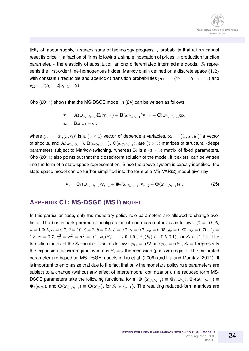ticity of labour supply,  $\lambda$  steady state of technology progress,  $\zeta$  probability that a firm cannot reset its price,  $\gamma$  a fraction of firms following a simple indexation of prices,  $\alpha$  production function parameter,  $\theta$  the elasticity of substitution among differentiated intermediate goods.  $S_t$  represents the first-order time-homogenous hidden Markov chain defined on a discrete space {1, 2} with constant (irreducible and aperiodic) transition probabilities  $p_{11} = \mathbb{P}(S_t = 1|S_{t-1} = 1)$  and  $p_{22} = \mathbb{P}(S_t = 2|S_{t-1} = 2).$ 

Cho (2011) shows that the MS-DSGE model in (24) can be written as follows

$$
\mathbf{y}_t = \mathbf{A}(\boldsymbol{\omega}_{S_t, S_{t-1}}) \mathbb{E}_t(\mathbf{y}_{t+1}) + \mathbf{B}(\boldsymbol{\omega}_{S_t, S_{t-1}}) \mathbf{y}_{t-1} + \mathbf{C}(\boldsymbol{\omega}_{S_t, S_{t-1}}) \mathbf{x}_t,
$$
  

$$
\mathbf{x}_t = \mathbf{R} \mathbf{x}_{t-1} + \boldsymbol{\epsilon}_t,
$$

where  $\mathbf{y}_t = (\hat{\pi}_t, \hat{y}_t, \hat{r}_t)'$  is a  $(3 \times 1)$  vector of dependent variables,  $\mathbf{x}_t = (\hat{v}_t, \hat{a}_t, \hat{u}_t)'$  a vector of shocks, and  ${\bf A}(\omega_{S_t,S_{t-1}}),\,{\bf B}(\omega_{S_t,S_{t-1}}),\,{\bf C}(\omega_{S_t,S_{t-1}}),$  are  $(3\times 3)$  matrices of structural (deep) parameters subject to Markov-switching, whereas R is a  $(3 \times 3)$  matrix of fixed parameters. Cho (2011) also points out that the closed-form solution of the model, if it exists, can be written into the form of a state-space representation. Since the above system is exactly identified, the state-space model can be further simplified into the form of a MS-VAR(2) model given by

$$
\mathbf{y}_t = \mathbf{\Phi}_1(\boldsymbol{\omega}_{S_t, S_{t-1}}) \mathbf{y}_{t-1} + \mathbf{\Phi}_2(\boldsymbol{\omega}_{S_t, S_{t-1}}) \mathbf{y}_{t-2} + \mathbf{\Theta}(\boldsymbol{\omega}_{S_t, S_{t-1}}) \boldsymbol{\epsilon}_t.
$$
 (25)

#### **APPENDIX C1: MS-DSGE (MS1) MODEL**

In this particular case, only the monetary policy rule parameters are allowed to change over time. The benchmark parameter configuration of deep parameters is as follows:  $\beta = 0.995$ ,  $\lambda = 1.005, \alpha = 0.7, \theta = 10, \xi = 2, b = 0.5, \zeta = 0.7, \gamma = 0.7, \rho_v = 0.95, \rho_r = 0.80, \rho_a = 0.70, \phi_p = 0.005$ 1.8,  $\gamma = 0.7$ ,  $\sigma_v^2 = \sigma_a^2 = \sigma_u^2 = 0.1$ ,  $\phi_p(S_t) \in \{2.0, 1.0\}$ ,  $\phi_y(S_t) \in \{0.5, 0.1\}$ , for  $S_t \in \{1, 2\}$ . The transition matrix of the  $S_t$  variable is set as follows:  $p_{11} = 0.95$  and  $p_{22} = 0.80$ ,  $S_t = 1$  represents the expansion (active) regime, whereas  $S_t = 2$  the recession (passive) regime. The calibrated parameter are based on MS-DSGE models in Liu et al. (2009) and Liu and Mumtaz (2011). It is important to emphasize that due to the fact that only the monetary policy rule parameters are subject to a change (without any effect of intertemporal optimization), the reduced form MS-DSGE parameters take the following functional form:  $\pmb{\Phi}_1(\pmb{\omega}_{S_t,S_{t-1}})\equiv \pmb{\Phi}_1(\pmb{\omega}_{S_t}),$   $\pmb{\Phi}_2(\pmb{\omega}_{S_t,S_{t-1}})\equiv$  $\Phi_2(\omega_{S_t}),$  and  $\Theta(\omega_{S_t,S_{t-1}})\equiv\Theta(\omega_{S_t}),$  for  $S_t\in\{1,2\}.$  The resulting reduced-form matrices are

24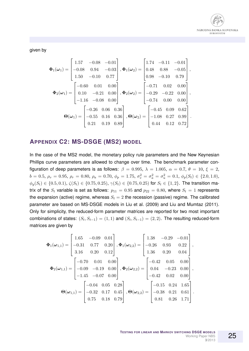

given by

$$
\Phi_1(\omega_1) = \begin{bmatrix} 1.57 & -0.08 & -0.01 \\ -0.08 & 0.94 & -0.03 \\ 1.50 & -0.10 & 0.77 \end{bmatrix}, \Phi_1(\omega_2) = \begin{bmatrix} 1.74 & -0.11 & -0.01 \\ 0.48 & 0.88 & -0.05 \\ 0.98 & -0.10 & 0.79 \end{bmatrix},
$$

$$
\Phi_2(\omega_1) = \begin{bmatrix} -0.60 & 0.01 & 0.00 \\ 0.10 & -0.21 & 0.00 \\ -1.16 & -0.08 & 0.00 \end{bmatrix}, \Phi_2(\omega_2) = \begin{bmatrix} -0.71 & 0.02 & 0.00 \\ -0.29 & -0.22 & 0.00 \\ -0.74 & 0.00 & 0.00 \end{bmatrix},
$$

$$
\Theta(\omega_1) = \begin{bmatrix} -0.26 & 0.06 & 0.36 \\ -0.55 & 0.16 & 0.36 \\ 0.21 & 0.19 & 0.89 \end{bmatrix}, \Theta(\omega_2) = \begin{bmatrix} -0.45 & 0.09 & 0.62 \\ -1.08 & 0.27 & 0.99 \\ 0.44 & 0.12 & 0.72 \end{bmatrix}.
$$

#### **APPENDIX C2: MS-DSGE (MS2) MODEL**

In the case of the MS2 model, the monetary policy rule parameters and the New Keynesian Phillips curve parameters are allowed to change over time. The benchmark parameter configuration of deep parameters is as follows:  $\beta = 0.995$ ,  $\lambda = 1.005$ ,  $\alpha = 0.7$ ,  $\theta = 10$ ,  $\xi = 2$ ,  $b = 0.5, \, \rho_v = 0.95, \, \rho_r = 0.80, \, \rho_a = 0.70, \, \phi_p = 1.75, \, \sigma_v^2 = \sigma_a^2 = \sigma_u^2 = 0.1, \, \phi_p(S_t) \in \{2.0, 1.0\},$  $\phi_y(S_t) \in \{0.5, 0.1\}, \ \zeta(S_t) \in \{0.75, 0.25\}, \ \gamma(S_t) \in \{0.75, 0.25\}$  for  $S_t \in \{1, 2\}.$  The transition matrix of the  $S_t$  variable is set as follows:  $p_{11} = 0.95$  and  $p_{22} = 0.80$ , where  $S_t = 1$  represents the expansion (active) regime, whereas  $S_t = 2$  the recession (passive) regime. The calibrated parameter are based on MS-DSGE models in Liu et al. (2009) and Liu and Mumtaz (2011). Only for simplicity, the reduced-form parameter matrices are reported for two most important combinations of states:  $(S_t, S_{t-1}) = (1, 1)$  and  $(S_t, S_{t-1}) = (2, 2)$ . The resulting reduced-form matrices are given by

$$
\Phi_{1}(\omega_{1,1}) = \begin{bmatrix} 1.65 & -0.09 & 0.01 \\ -0.31 & 0.77 & 0.20 \\ 3.16 & 0.20 & 0.12 \end{bmatrix}, \Phi_{1}(\omega_{2,2}) = \begin{bmatrix} 1.38 & -0.29 & -0.01 \\ -0.26 & 0.93 & 0.22 \\ 1.36 & 0.20 & 0.04 \end{bmatrix},
$$

$$
\Phi_{2}(\omega_{1,1}) = \begin{bmatrix} -0.70 & 0.01 & 0.00 \\ -0.09 & -0.19 & 0.00 \\ -1.45 & -0.07 & 0.00 \end{bmatrix}, \Phi_{2}(\omega_{2,2}) = \begin{bmatrix} -0.42 & 0.05 & 0.00 \\ 0.04 & -0.23 & 0.00 \\ -0.42 & 0.02 & 0.00 \end{bmatrix},
$$

$$
\Theta(\omega_{1,1}) = \begin{bmatrix} -0.04 & 0.05 & 0.28 \\ -0.32 & 0.17 & 0.45 \\ 0.75 & 0.18 & 0.79 \end{bmatrix}, \Theta(\omega_{2,2}) = \begin{bmatrix} -0.15 & 0.24 & 1.65 \\ -0.38 & 0.21 & 0.61 \\ 0.81 & 0.26 & 1.71 \end{bmatrix}.
$$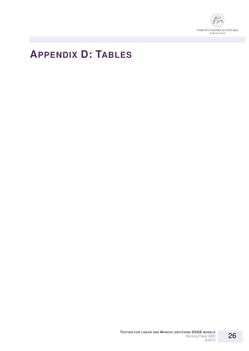

### **APPENDIX D: TABLES**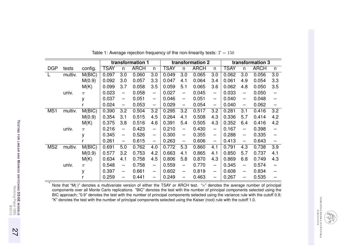|                 |         |         | transformation 1 |                          |             |                          | transformation 2 |                                   |             |                          | transformation 3 |                          |             |                          |
|-----------------|---------|---------|------------------|--------------------------|-------------|--------------------------|------------------|-----------------------------------|-------------|--------------------------|------------------|--------------------------|-------------|--------------------------|
| <b>DGP</b>      | tests   | config. | <b>TSAY</b>      | n                        | <b>ARCH</b> | n                        | <b>TSAY</b>      | n                                 | <b>ARCH</b> | n                        | <b>TSAY</b>      | n                        | <b>ARCH</b> | n                        |
|                 | multiv. | M(BIC)  | 0.097            | 3.0                      | 0.060       | 3.0                      | 0.049            | 3.0                               | 0.065       | 3.0                      | 0.062            | 3.0                      | 0.056       | 3.0                      |
|                 |         | M(0.9)  | 0.092            | 3.0                      | 0.057       | 3.3                      | 0.047            | 4.1                               | 0.064       | 3.4                      | 0.061            | 4.9                      | 0.054       | 3.3                      |
|                 |         | M(K)    | 0.099            | 3.7                      | 0.058       | 3.5                      | 0.059            | 5.1                               | 0.065       | 3.6                      | 0.062            | 4.8                      | 0.050       | 3.5                      |
|                 | univ.   | $\pi$   | 0.023            | $\overline{\phantom{0}}$ | 0.058       | $\overline{\phantom{m}}$ | 0.027            | $\overbrace{\phantom{123221111}}$ | 0.045       | —                        | 0.033            | $\overline{\phantom{0}}$ | 0.050       |                          |
|                 |         | y       | 0.037            | $\overline{\phantom{m}}$ | 0.051       | $\overline{\phantom{0}}$ | 0.046            | $\overline{\phantom{m}}$          | 0.051       | $\overline{\phantom{0}}$ | 0.040            | $\overline{\phantom{0}}$ | 0.048       |                          |
|                 |         |         | 0.024            | $\overline{\phantom{m}}$ | 0.053       | $\overline{\phantom{m}}$ | 0.029            | $\overline{\phantom{m}}$          | 0.054       | $\overline{\phantom{0}}$ | 0.040            | $\overline{\phantom{m}}$ | 0.062       | $\overline{\phantom{0}}$ |
| MS1             | multiv. | M(BIC)  | 0.390            | 3.2                      | 0.504       | 3.2                      | 0.295            | 3.2                               | 0.517       | 3.2                      | 0.281            | 3.1                      | 0.416       | 3.2                      |
|                 |         | M(0.9)  | 0.354            | 3.1                      | 0.515       | 4.5                      | 0.264            | 4.1                               | 0.508       | 4.3                      | 0.336            | 5.7                      | 0.414       | 4.2                      |
|                 |         | M(K)    | 0.375            | 3.8                      | 0.516       | 4.6                      | 0.391            | 5.4                               | 0.505       | 4.3                      | 0.352            | 6.4                      | 0.416       | 4.2                      |
|                 | univ.   | $\pi$   | 0.216            | $\overline{\phantom{0}}$ | 0.423       | $\overline{\phantom{0}}$ | 0.210            | $\qquad \qquad -$                 | 0.430       | $\overline{\phantom{0}}$ | 0.167            | $\overline{\phantom{0}}$ | 0.398       |                          |
|                 |         | y       | 0.345            | $\overline{\phantom{m}}$ | 0.526       | $\overline{\phantom{m}}$ | 0.300            | $\overbrace{\phantom{123221111}}$ | 0.355       | $\overline{\phantom{0}}$ | 0.288            | -                        | 0.335       |                          |
|                 |         |         | 0.261            | $\overline{\phantom{m}}$ | 0.615       | $\overline{\phantom{m}}$ | 0.263            | $\overline{\phantom{m}}$          | 0.606       | $\overline{\phantom{m}}$ | 0.413            | $\overline{\phantom{m}}$ | 0.643       | $\overline{\phantom{0}}$ |
| MS <sub>2</sub> | multiv. | M(BIC)  | 0.691            | 5.0                      | 0.762       | 4.0                      | 0.772            | 5.3                               | 0.860       | 4.1                      | 0.791            | 4.3                      | 0.738       | 3.9                      |
|                 |         | M(0.9)  | 0.577            | 3.2                      | 0.753       | 4.2                      | 0.663            | 4.1                               | 0.865       | 4.1                      | 0.850            | 5.7                      | 0.737       | 4.1                      |
|                 |         | M(K)    | 0.634            | 4.1                      | 0.758       | 4.5                      | 0.806            | 5.8                               | 0.870       | 4.3                      | 0.869            | 6.8                      | 0.749       | 4.3                      |
|                 | univ.   | $\pi$   | 0.548            | $\qquad \qquad -$        | 0.758       | $\overline{\phantom{0}}$ | 0.559            | $\overline{\phantom{0}}$          | 0.770       | $\overline{\phantom{0}}$ | 0.345            |                          | 0.574       |                          |
|                 |         | у       | 0.397            | -                        | 0.661       | $\overline{\phantom{m}}$ | 0.602            | $\qquad \qquad -$                 | 0.819       | $\overline{\phantom{0}}$ | 0.608            |                          | 0.834       |                          |
|                 |         |         | 0.259            |                          | 0.441       | $\qquad \qquad -$        | 0.249            | -                                 | 0.463       | —                        | 0.267            |                          | 0.535       |                          |

| Table 1: Average rejection frequency of the non-linearity tests: $T = 150$ |  |  |
|----------------------------------------------------------------------------|--|--|
|----------------------------------------------------------------------------|--|--|

Note that "M(·)" denotes a multivariate version of either the TSAY or ARCH test. "n" denotes the average number of principal components over all Monte Carlo replications. "BIC" denotes the test with the number of principal components selected using the BIC approach; "0.9" denotes the test with the number of principal components selected using the variance rule with the cutoff 0.9;"K" denotes the test with the number of principal components selected using the Kaiser (root) rule with the cutoff 1.0.

NÁRODNÁ BANKA SLOVENSKA<br>MARODNÁ BANKA SLOVENSKA

\*

27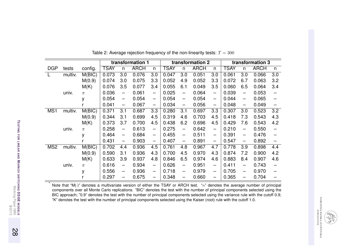|                 |         |         | transformation 1 |                          |             |                          | transformation 2 |                          |             |                          | transformation 3 |                          |             |                          |
|-----------------|---------|---------|------------------|--------------------------|-------------|--------------------------|------------------|--------------------------|-------------|--------------------------|------------------|--------------------------|-------------|--------------------------|
| <b>DGP</b>      | tests   | config. | <b>TSAY</b>      | n                        | <b>ARCH</b> | n                        | <b>TSAY</b>      | n                        | <b>ARCH</b> | n                        | <b>TSAY</b>      | n                        | <b>ARCH</b> | n                        |
|                 | multiv. | M(BIC)  | 0.073            | 3.0                      | 0.076       | 3.0                      | 0.047            | 3.0                      | 0.051       | 3.0                      | 0.061            | 3.0                      | 0.066       | 3.0                      |
|                 |         | M(0.9)  | 0.074            | 3.0                      | 0.075       | 3.3                      | 0.052            | 4.9                      | 0.052       | 3.3                      | 0.072            | 6.7                      | 0.063       | 3.2                      |
|                 |         | M(K)    | 0.076            | 3.5                      | 0.077       | 3.4                      | 0.055            | 6.1                      | 0.049       | 3.5                      | 0.060            | 6.5                      | 0.064       | 3.4                      |
|                 | univ.   | $\pi$   | 0.036            | $\overline{\phantom{0}}$ | 0.061       | —                        | 0.025            | $\overline{\phantom{0}}$ | 0.064       | $\overline{\phantom{0}}$ | 0.039            | $\overline{\phantom{0}}$ | 0.053       |                          |
|                 |         | y       | 0.054            | $\overline{\phantom{0}}$ | 0.054       | $\overline{\phantom{0}}$ | 0.054            | $\overline{\phantom{0}}$ | 0.054       | $\overline{\phantom{0}}$ | 0.044            | $\overline{\phantom{0}}$ | 0.065       |                          |
|                 |         |         | 0.041            | $\overline{\phantom{0}}$ | 0.067       | $\overline{\phantom{0}}$ | 0.034            | $\overline{\phantom{m}}$ | 0.056       | $\overline{\phantom{0}}$ | 0.048            | $\overline{\phantom{0}}$ | 0.049       | -                        |
| MS1             | multiv. | M(BIC)  | 0.371            | 3.1                      | 0.687       | 3.3                      | 0.280            | 3.1                      | 0.697       | 3.3                      | 0.307            | 3.0                      | 0.523       | 3.2                      |
|                 |         | M(0.9)  | 0.344            | 3.1                      | 0.699       | 4.5                      | 0.319            | 4.6                      | 0.703       | 4.5                      | 0.418            | 7.3                      | 0.543       | 4.3                      |
|                 |         | M(K)    | 0.373            | 3.7                      | 0.700       | 4.5                      | 0.438            | 6.2                      | 0.696       | 4.5                      | 0.429            | 7.6                      | 0.543       | 4.2                      |
|                 | univ.   | $\pi$   | 0.258            | $\overline{\phantom{0}}$ | 0.613       |                          | 0.275            | $\overline{\phantom{0}}$ | 0.642       | $\overline{\phantom{0}}$ | 0.210            | $\overline{\phantom{0}}$ | 0.550       |                          |
|                 |         | y       | 0.464            | $\overline{\phantom{0}}$ | 0.684       | $\qquad \qquad -$        | 0.455            | $\overline{\phantom{0}}$ | 0.511       | $\overline{\phantom{0}}$ | 0.391            | $\overline{\phantom{0}}$ | 0.476       |                          |
|                 |         |         | 0.431            | $\overline{\phantom{0}}$ | 0.903       | $\qquad \qquad -$        | 0.407            | $\overline{\phantom{m}}$ | 0.891       | $\overline{\phantom{m}}$ | 0.547            | $\qquad \qquad -$        | 0.892       | $\overline{\phantom{0}}$ |
| MS <sub>2</sub> | multiv. | M(BIC)  | 0.702            | 4.4                      | 0.936       | 4.5                      | 0.761            | 4.8                      | 0.967       | 4.7                      | 0.778            | 3.9                      | 0.898       | 4.4                      |
|                 |         | M(0.9)  | 0.590            | 3.1                      | 0.936       | 4.3                      | 0.700            | 4.5                      | 0.970       | 4.3                      | 0.874            | 7.2                      | 0.900       | 4.2                      |
|                 |         | M(K)    | 0.633            | 3.9                      | 0.937       | 4.8                      | 0.846            | 6.5                      | 0.974       | 4.6                      | 0.883            | 8.4                      | 0.907       | 4.6                      |
|                 | univ.   | $\pi$   | 0.616            |                          | 0.934       | $\overline{\phantom{0}}$ | 0.626            | $\overline{\phantom{m}}$ | 0.951       | $\overline{\phantom{0}}$ | 0.411            |                          | 0.743       |                          |
|                 |         | у       | 0.556            | $\overline{\phantom{0}}$ | 0.936       | $\overline{\phantom{0}}$ | 0.718            | $\overline{\phantom{0}}$ | 0.979       | $\overline{\phantom{0}}$ | 0.705            |                          | 0.970       |                          |
|                 |         |         | 0.297            |                          | 0.675       | $\overline{\phantom{0}}$ | 0.348            | —                        | 0.660       | $\qquad \qquad -$        | 0.365            |                          | 0.704       |                          |

| Table 2: Average rejection frequency of the non-linearity tests: $T = 300$ |  |
|----------------------------------------------------------------------------|--|
|----------------------------------------------------------------------------|--|

Note that "M(·)" denotes a multivariate version of either the TSAY or ARCH test. "n" denotes the average number of principal components over all Monte Carlo replications. "BIC" denotes the test with the number of principal components selected using the BIC approach; "0.9" denotes the test with the number of principal components selected using the variance rule with the cutoff 0.9;"K" denotes the test with the number of principal components selected using the Kaiser (root) rule with the cutoff 1.0.

NÁRODNÁ BANKA SLOVENSKA<br>MARODNÁ BANKA SLOVENSKA

\*

28